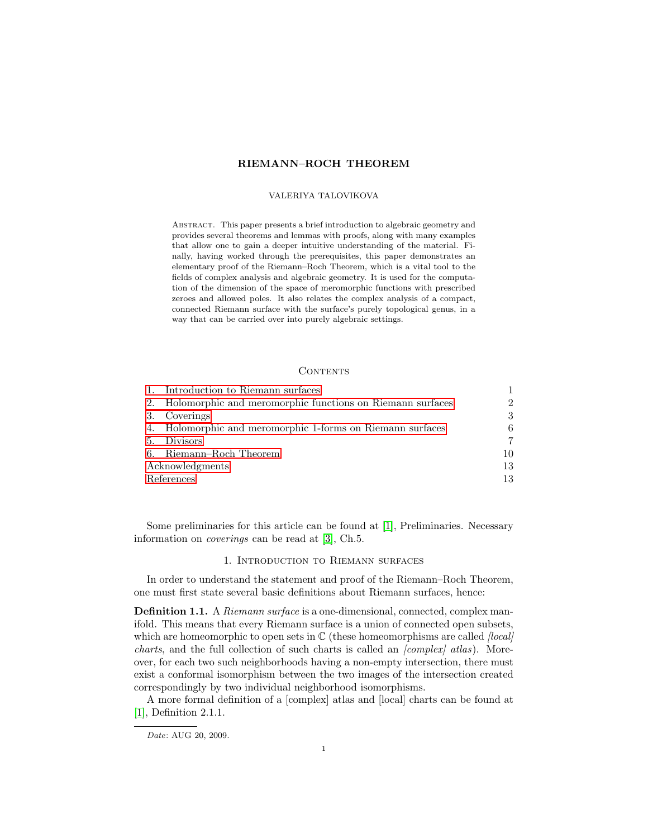# RIEMANN–ROCH THEOREM

### VALERIYA TALOVIKOVA

Abstract. This paper presents a brief introduction to algebraic geometry and provides several theorems and lemmas with proofs, along with many examples that allow one to gain a deeper intuitive understanding of the material. Finally, having worked through the prerequisites, this paper demonstrates an elementary proof of the Riemann–Roch Theorem, which is a vital tool to the fields of complex analysis and algebraic geometry. It is used for the computation of the dimension of the space of meromorphic functions with prescribed zeroes and allowed poles. It also relates the complex analysis of a compact, connected Riemann surface with the surface's purely topological genus, in a way that can be carried over into purely algebraic settings.

#### **CONTENTS**

|                 | Introduction to Riemann surfaces                          |                             |
|-----------------|-----------------------------------------------------------|-----------------------------|
| 2.              | Holomorphic and meromorphic functions on Riemann surfaces | $\mathcal{D}_{\mathcal{L}}$ |
| 3.              | Coverings                                                 | 3                           |
| 4.              | Holomorphic and meromorphic 1-forms on Riemann surfaces   | 6                           |
| .5.             | <b>Divisors</b>                                           | 7                           |
| 6.              | Riemann-Roch Theorem                                      | 10                          |
| Acknowledgments |                                                           | 13                          |
| References      |                                                           | 13                          |

Some preliminaries for this article can be found at [\[1\]](#page-12-1), Preliminaries. Necessary information on coverings can be read at [\[3\]](#page-12-2), Ch.5.

## 1. Introduction to Riemann surfaces

<span id="page-0-0"></span>In order to understand the statement and proof of the Riemann–Roch Theorem, one must first state several basic definitions about Riemann surfaces, hence:

**Definition 1.1.** A Riemann surface is a one-dimensional, connected, complex manifold. This means that every Riemann surface is a union of connected open subsets, which are homeomorphic to open sets in  $\mathbb C$  (these homeomorphisms are called *[local] charts*, and the full collection of such charts is called an  $\text{/complex/}$  atlas). Moreover, for each two such neighborhoods having a non-empty intersection, there must exist a conformal isomorphism between the two images of the intersection created correspondingly by two individual neighborhood isomorphisms.

A more formal definition of a [complex] atlas and [local] charts can be found at [\[1\]](#page-12-1), Definition 2.1.1.

Date: AUG 20, 2009.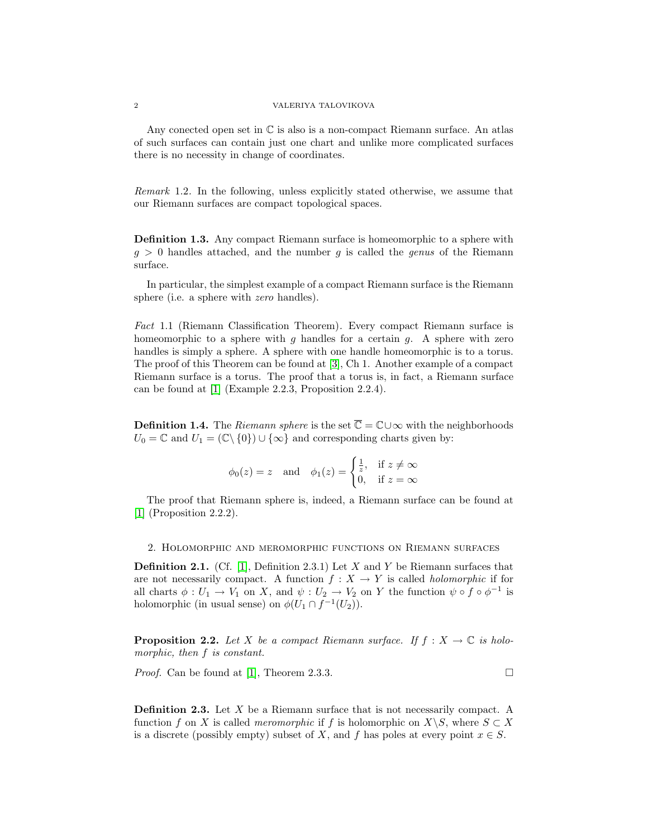#### 2 VALERIYA TALOVIKOVA

Any conected open set in  $\mathbb C$  is also is a non-compact Riemann surface. An atlas of such surfaces can contain just one chart and unlike more complicated surfaces there is no necessity in change of coordinates.

Remark 1.2. In the following, unless explicitly stated otherwise, we assume that our Riemann surfaces are compact topological spaces.

Definition 1.3. Any compact Riemann surface is homeomorphic to a sphere with  $q > 0$  handles attached, and the number q is called the genus of the Riemann surface.

In particular, the simplest example of a compact Riemann surface is the Riemann sphere (i.e. a sphere with *zero* handles).

Fact 1.1 (Riemann Classification Theorem). Every compact Riemann surface is homeomorphic to a sphere with q handles for a certain q. A sphere with zero handles is simply a sphere. A sphere with one handle homeomorphic is to a torus. The proof of this Theorem can be found at [\[3\]](#page-12-2), Ch 1. Another example of a compact Riemann surface is a torus. The proof that a torus is, in fact, a Riemann surface can be found at [\[1\]](#page-12-1) (Example 2.2.3, Proposition 2.2.4).

**Definition 1.4.** The Riemann sphere is the set  $\overline{C} = \mathbb{C} \cup \infty$  with the neighborhoods  $U_0 = \mathbb{C}$  and  $U_1 = (\mathbb{C} \setminus \{0\}) \cup \{\infty\}$  and corresponding charts given by:

$$
\phi_0(z) = z
$$
 and  $\phi_1(z) = \begin{cases} \frac{1}{z}, & \text{if } z \neq \infty \\ 0, & \text{if } z = \infty \end{cases}$ 

The proof that Riemann sphere is, indeed, a Riemann surface can be found at [\[1\]](#page-12-1) (Proposition 2.2.2).

<span id="page-1-0"></span>2. Holomorphic and meromorphic functions on Riemann surfaces

**Definition 2.1.** (Cf. [\[1\]](#page-12-1), Definition 2.3.1) Let X and Y be Riemann surfaces that are not necessarily compact. A function  $f : X \to Y$  is called *holomorphic* if for all charts  $\phi: U_1 \to V_1$  on X, and  $\psi: U_2 \to V_2$  on Y the function  $\psi \circ f \circ \phi^{-1}$  is holomorphic (in usual sense) on  $\phi(U_1 \cap f^{-1}(U_2))$ .

**Proposition 2.2.** Let X be a compact Riemann surface. If  $f : X \to \mathbb{C}$  is holomorphic, then f is constant.

*Proof.* Can be found at [\[1\]](#page-12-1), Theorem 2.3.3.

Definition 2.3. Let X be a Riemann surface that is not necessarily compact. A function f on X is called *meromorphic* if f is holomorphic on  $X\backslash S$ , where  $S \subset X$ is a discrete (possibly empty) subset of X, and f has poles at every point  $x \in S$ .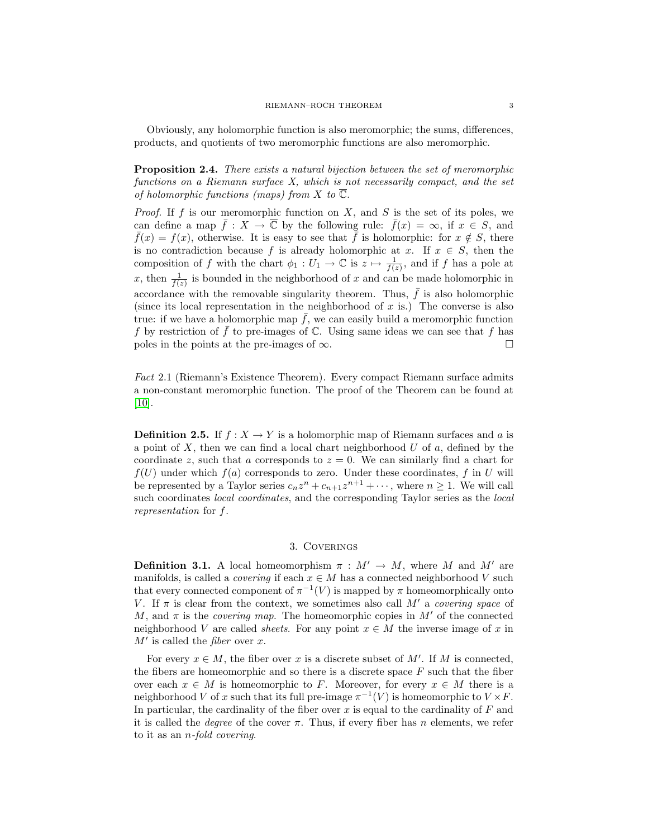Obviously, any holomorphic function is also meromorphic; the sums, differences, products, and quotients of two meromorphic functions are also meromorphic.

<span id="page-2-1"></span>Proposition 2.4. There exists a natural bijection between the set of meromorphic functions on a Riemann surface X, which is not necessarily compact, and the set of holomorphic functions (maps) from X to  $\overline{\mathbb{C}}$ .

*Proof.* If f is our meromorphic function on  $X$ , and  $S$  is the set of its poles, we can define a map  $\bar{f}: X \to \overline{\mathbb{C}}$  by the following rule:  $\bar{f}(x) = \infty$ , if  $x \in S$ , and  $\bar{f}(x) = f(x)$ , otherwise. It is easy to see that  $\bar{f}$  is holomorphic: for  $x \notin S$ , there is no contradiction because f is already holomorphic at x. If  $x \in S$ , then the composition of f with the chart  $\phi_1: U_1 \to \mathbb{C}$  is  $z \mapsto \frac{1}{f(z)}$ , and if f has a pole at x, then  $\frac{1}{f(z)}$  is bounded in the neighborhood of x and can be made holomorphic in accordance with the removable singularity theorem. Thus,  $\bar{f}$  is also holomorphic (since its local representation in the neighborhood of  $x$  is.) The converse is also true: if we have a holomorphic map  $\bar{f}$ , we can easily build a meromorphic function f by restriction of  $\bar{f}$  to pre-images of C. Using same ideas we can see that f has poles in the points at the pre-images of  $\infty$ .

<span id="page-2-2"></span>Fact 2.1 (Riemann's Existence Theorem). Every compact Riemann surface admits a non-constant meromorphic function. The proof of the Theorem can be found at  $[10]$ .

**Definition 2.5.** If  $f : X \to Y$  is a holomorphic map of Riemann surfaces and a is a point of  $X$ , then we can find a local chart neighborhood  $U$  of  $a$ , defined by the coordinate z, such that a corresponds to  $z = 0$ . We can similarly find a chart for  $f(U)$  under which  $f(a)$  corresponds to zero. Under these coordinates, f in U will be represented by a Taylor series  $c_n z^n + c_{n+1} z^{n+1} + \cdots$ , where  $n \ge 1$ . We will call such coordinates *local coordinates*, and the corresponding Taylor series as the *local* representation for f.

# 3. Coverings

<span id="page-2-0"></span>**Definition 3.1.** A local homeomorphism  $\pi : M' \to M$ , where M and M' are manifolds, is called a *covering* if each  $x \in M$  has a connected neighborhood V such that every connected component of  $\pi^{-1}(V)$  is mapped by  $\pi$  homeomorphically onto V. If  $\pi$  is clear from the context, we sometimes also call M' a covering space of M, and  $\pi$  is the *covering map*. The homeomorphic copies in M' of the connected neighborhood V are called *sheets*. For any point  $x \in M$  the inverse image of x in  $M'$  is called the *fiber* over x.

For every  $x \in M$ , the fiber over x is a discrete subset of M'. If M is connected, the fibers are homeomorphic and so there is a discrete space  $F$  such that the fiber over each  $x \in M$  is homeomorphic to F. Moreover, for every  $x \in M$  there is a neighborhood V of x such that its full pre-image  $\pi^{-1}(V)$  is homeomorphic to  $V \times F$ . In particular, the cardinality of the fiber over  $x$  is equal to the cardinality of  $F$  and it is called the *degree* of the cover  $\pi$ . Thus, if every fiber has n elements, we refer to it as an n-fold covering.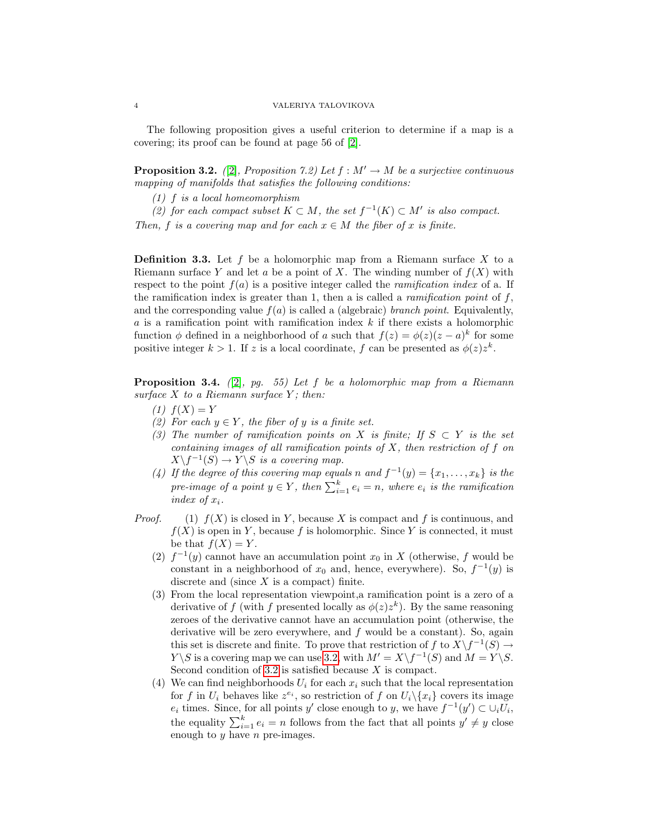The following proposition gives a useful criterion to determine if a map is a covering; its proof can be found at page 56 of [\[2\]](#page-12-4).

<span id="page-3-0"></span>**Proposition 3.2.** ([\[2\]](#page-12-4), Proposition 7.2) Let  $f : M' \to M$  be a surjective continuous mapping of manifolds that satisfies the following conditions:

(1) f is a local homeomorphism

(2) for each compact subset  $K \subset M$ , the set  $f^{-1}(K) \subset M'$  is also compact. Then, f is a covering map and for each  $x \in M$  the fiber of x is finite.

**Definition 3.3.** Let f be a holomorphic map from a Riemann surface X to a Riemann surface Y and let a be a point of X. The winding number of  $f(X)$  with respect to the point  $f(a)$  is a positive integer called the *ramification index* of a. If the ramification index is greater than 1, then a is called a *ramification point* of  $f$ , and the corresponding value  $f(a)$  is called a (algebraic) *branch point*. Equivalently,  $a$  is a ramification point with ramification index  $k$  if there exists a holomorphic function  $\phi$  defined in a neighborhood of a such that  $f(z) = \phi(z)(z - a)^k$  for some positive integer  $k > 1$ . If z is a local coordinate, f can be presented as  $\phi(z) z^k$ .

<span id="page-3-1"></span>**Proposition 3.4.** (2), pg. 55) Let f be a holomorphic map from a Riemann surface  $X$  to a Riemann surface  $Y$ ; then:

- $(1)$   $f(X) = Y$
- (2) For each  $y \in Y$ , the fiber of y is a finite set.
- (3) The number of ramification points on X is finite; If  $S \subset Y$  is the set containing images of all ramification points of  $X$ , then restriction of  $f$  on  $X \backslash f^{-1}(S) \to Y \backslash S$  is a covering map.
- (4) If the degree of this covering map equals n and  $f^{-1}(y) = \{x_1, \ldots, x_k\}$  is the pre-image of a point  $y \in Y$ , then  $\sum_{i=1}^{k} e_i = n$ , where  $e_i$  is the ramification index of  $x_i$ .
- *Proof.* (1)  $f(X)$  is closed in Y, because X is compact and f is continuous, and  $f(X)$  is open in Y, because f is holomorphic. Since Y is connected, it must be that  $f(X) = Y$ .
	- (2)  $f^{-1}(y)$  cannot have an accumulation point  $x_0$  in X (otherwise, f would be constant in a neighborhood of  $x_0$  and, hence, everywhere). So,  $f^{-1}(y)$  is discrete and (since  $X$  is a compact) finite.
	- (3) From the local representation viewpoint,a ramification point is a zero of a derivative of f (with f presented locally as  $\phi(z)z^k$ ). By the same reasoning zeroes of the derivative cannot have an accumulation point (otherwise, the derivative will be zero everywhere, and  $f$  would be a constant). So, again this set is discrete and finite. To prove that restriction of f to  $X\backslash f^{-1}(S) \to$  $Y \backslash S$  is a covering map we can use [3](#page-3-0).2, with  $M' = X \backslash f^{-1}(S)$  and  $M = Y \backslash S$ . Second condition of 3.[2](#page-3-0) is satisfied because  $X$  is compact.
	- (4) We can find neighborhoods  $U_i$  for each  $x_i$  such that the local representation for f in  $U_i$  behaves like  $z^{e_i}$ , so restriction of f on  $U_i \backslash \{x_i\}$  covers its image  $e_i$  times. Since, for all points y' close enough to y, we have  $f^{-1}(y') \subset \bigcup_i U_i$ , the equality  $\sum_{i=1}^{k} e_i = n$  follows from the fact that all points  $y' \neq y$  close enough to  $y$  have  $n$  pre-images.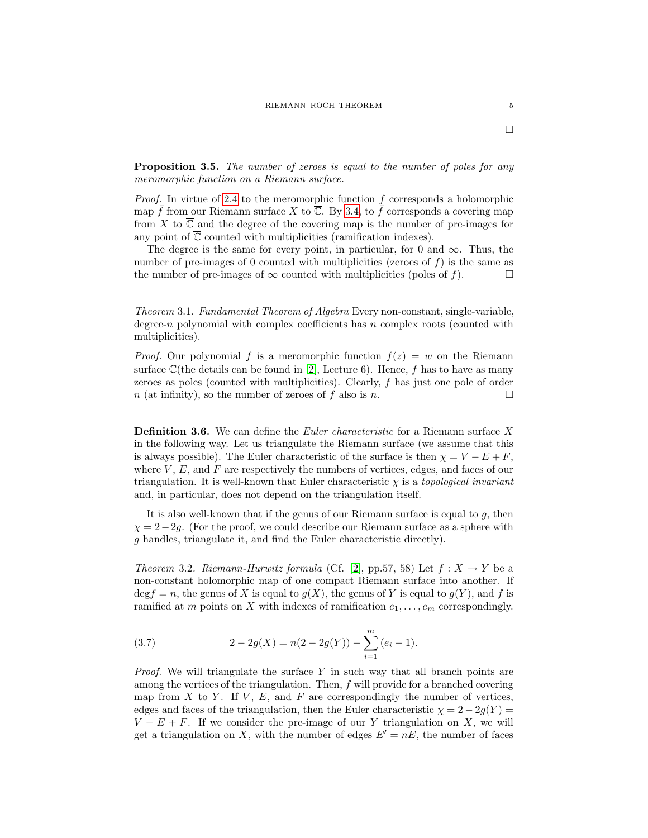**Proposition 3.5.** The number of zeroes is equal to the number of poles for any meromorphic function on a Riemann surface.

*Proof.* In virtue of 2.[4](#page-2-1) to the meromorphic function  $f$  corresponds a holomorphic map  $\bar{f}$  from our Riemann surface X to  $\bar{C}$ . By [3](#page-3-1).4, to  $\bar{f}$  corresponds a covering map from X to  $\overline{\mathbb{C}}$  and the degree of the covering map is the number of pre-images for any point of  $\overline{\mathbb{C}}$  counted with multiplicities (ramification indexes).

The degree is the same for every point, in particular, for 0 and  $\infty$ . Thus, the number of pre-images of 0 counted with multiplicities (zeroes of  $f$ ) is the same as the number of pre-images of  $\infty$  counted with multiplicities (poles of f).

Theorem 3.1. Fundamental Theorem of Algebra Every non-constant, single-variable, degree-n polynomial with complex coefficients has  $n$  complex roots (counted with multiplicities).

*Proof.* Our polynomial f is a meromorphic function  $f(z) = w$  on the Riemann surface  $\mathbb{C}$ (the details can be found in [\[2\]](#page-12-4), Lecture 6). Hence, f has to have as many zeroes as poles (counted with multiplicities). Clearly, f has just one pole of order  $n$  (at infinity), so the number of zeroes of f also is n.

**Definition 3.6.** We can define the *Euler characteristic* for a Riemann surface X in the following way. Let us triangulate the Riemann surface (we assume that this is always possible). The Euler characteristic of the surface is then  $\chi = V - E + F$ , where  $V, E$ , and  $F$  are respectively the numbers of vertices, edges, and faces of our triangulation. It is well-known that Euler characteristic  $\chi$  is a topological invariant and, in particular, does not depend on the triangulation itself.

It is also well-known that if the genus of our Riemann surface is equal to  $q$ , then  $\chi = 2-2g$ . (For the proof, we could describe our Riemann surface as a sphere with g handles, triangulate it, and find the Euler characteristic directly).

Theorem 3.2. Riemann-Hurwitz formula (Cf. [\[2\]](#page-12-4), pp.57, 58) Let  $f: X \to Y$  be a non-constant holomorphic map of one compact Riemann surface into another. If  $\deg f = n$ , the genus of X is equal to  $g(X)$ , the genus of Y is equal to  $g(Y)$ , and f is ramified at m points on X with indexes of ramification  $e_1, \ldots, e_m$  correspondingly.

(3.7) 
$$
2 - 2g(X) = n(2 - 2g(Y)) - \sum_{i=1}^{m} (e_i - 1).
$$

Proof. We will triangulate the surface Y in such way that all branch points are among the vertices of the triangulation. Then, f will provide for a branched covering map from  $X$  to  $Y$ . If  $V$ ,  $E$ , and  $F$  are correspondingly the number of vertices, edges and faces of the triangulation, then the Euler characteristic  $\chi = 2 - 2g(Y) =$  $V - E + F$ . If we consider the pre-image of our Y triangulation on X, we will get a triangulation on X, with the number of edges  $E' = nE$ , the number of faces

 $\Box$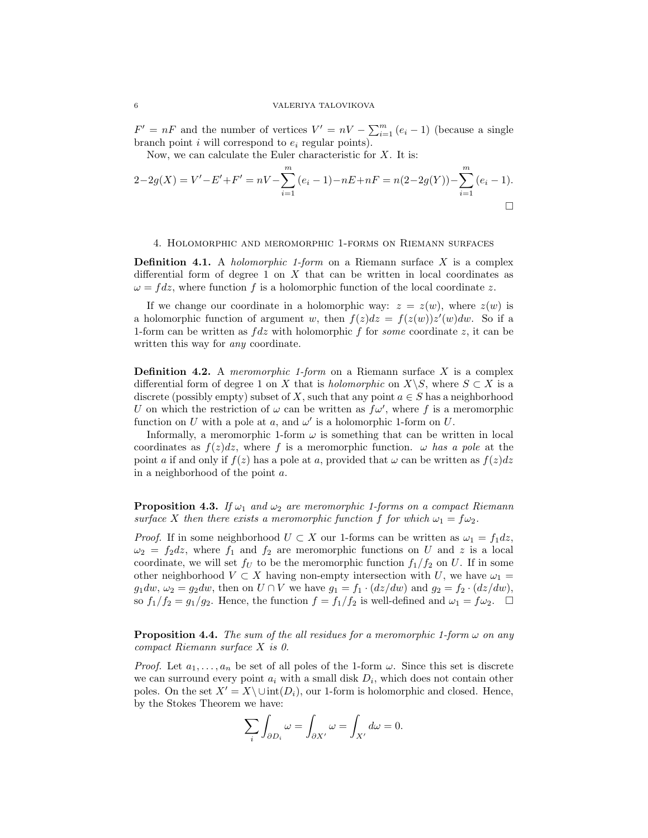$F' = nF$  and the number of vertices  $V' = nV - \sum_{i=1}^{m} (e_i - 1)$  (because a single branch point  $i$  will correspond to  $e_i$  regular points).

Now, we can calculate the Euler characteristic for  $X$ . It is:

$$
2-2g(X) = V' - E' + F' = nV - \sum_{i=1}^{m} (e_i - 1) - nE + nF = n(2-2g(Y)) - \sum_{i=1}^{m} (e_i - 1).
$$

# <span id="page-5-0"></span>4. Holomorphic and meromorphic 1-forms on Riemann surfaces

**Definition 4.1.** A *holomorphic 1-form* on a Riemann surface  $X$  is a complex differential form of degree 1 on  $X$  that can be written in local coordinates as  $\omega = f dz$ , where function f is a holomorphic function of the local coordinate z.

If we change our coordinate in a holomorphic way:  $z = z(w)$ , where  $z(w)$  is a holomorphic function of argument w, then  $f(z)dz = f(z(w))z'(w)dw$ . So if a 1-form can be written as  $fdz$  with holomorphic f for some coordinate z, it can be written this way for *any* coordinate.

**Definition 4.2.** A *meromorphic 1-form* on a Riemann surface X is a complex differential form of degree 1 on X that is *holomorphic* on  $X\backslash S$ , where  $S\subset X$  is a discrete (possibly empty) subset of X, such that any point  $a \in S$  has a neighborhood U on which the restriction of  $\omega$  can be written as  $f\omega'$ , where f is a meromorphic function on U with a pole at a, and  $\omega'$  is a holomorphic 1-form on U.

Informally, a meromorphic 1-form  $\omega$  is something that can be written in local coordinates as  $f(z)dz$ , where f is a meromorphic function.  $\omega$  has a pole at the point a if and only if  $f(z)$  has a pole at a, provided that  $\omega$  can be written as  $f(z)dz$ in a neighborhood of the point a.

**Proposition 4.3.** If  $\omega_1$  and  $\omega_2$  are meromorphic 1-forms on a compact Riemann surface X then there exists a meromorphic function f for which  $\omega_1 = f \omega_2$ .

*Proof.* If in some neighborhood  $U \subset X$  our 1-forms can be written as  $\omega_1 = f_1 dz$ ,  $\omega_2 = f_2 dz$ , where  $f_1$  and  $f_2$  are meromorphic functions on U and z is a local coordinate, we will set  $f_U$  to be the meromorphic function  $f_1/f_2$  on U. If in some other neighborhood  $V \subset X$  having non-empty intersection with U, we have  $\omega_1 =$  $g_1dw, \omega_2 = g_2dw$ , then on  $U \cap V$  we have  $g_1 = f_1 \cdot (dz/dw)$  and  $g_2 = f_2 \cdot (dz/dw)$ , so  $f_1/f_2 = g_1/g_2$ . Hence, the function  $f = f_1/f_2$  is well-defined and  $\omega_1 = f\omega_2$ .  $\Box$ 

<span id="page-5-1"></span>**Proposition 4.4.** The sum of the all residues for a meromorphic 1-form  $\omega$  on any compact Riemann surface X is 0.

*Proof.* Let  $a_1, \ldots, a_n$  be set of all poles of the 1-form  $\omega$ . Since this set is discrete we can surround every point  $a_i$  with a small disk  $D_i$ , which does not contain other poles. On the set  $X' = X\setminus \text{Unit}(D_i)$ , our 1-form is holomorphic and closed. Hence, by the Stokes Theorem we have:

$$
\sum_{i} \int_{\partial D_i} \omega = \int_{\partial X'} \omega = \int_{X'} d\omega = 0.
$$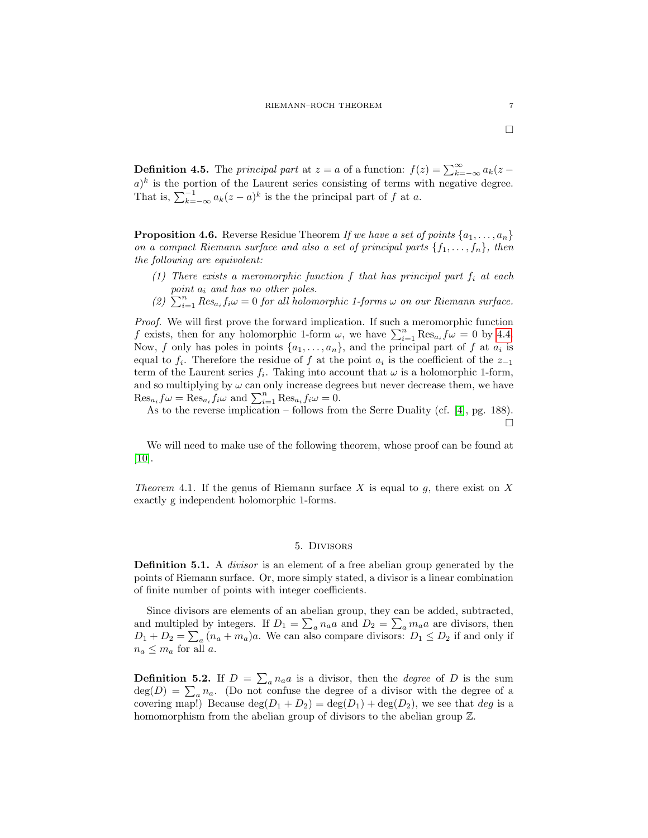**Definition 4.5.** The *principal part* at  $z = a$  of a function:  $f(z) = \sum_{k=-\infty}^{\infty} a_k(z - z)$  $a)^k$  is the portion of the Laurent series consisting of terms with negative degree. That is,  $\sum_{k=-\infty}^{-1} a_k(z-a)^k$  is the the principal part of f at a.

<span id="page-6-2"></span>**Proposition 4.6.** Reverse Residue Theorem If we have a set of points  $\{a_1, \ldots, a_n\}$ on a compact Riemann surface and also a set of principal parts  $\{f_1, \ldots, f_n\}$ , then the following are equivalent:

- (1) There exists a meromorphic function f that has principal part  $f_i$  at each point  $a_i$  and has no other poles.
- (2)  $\sum_{i=1}^{n} Res_{a_i} f_i \omega = 0$  for all holomorphic 1-forms  $\omega$  on our Riemann surface.

Proof. We will first prove the forward implication. If such a meromorphic function f exists, then for any holomorphic 1-form  $\omega$ , we have  $\sum_{i=1}^{n} \text{Res}_{a_i} f \omega = 0$  by [4.](#page-5-1)4. Now, f only has poles in points  $\{a_1, \ldots, a_n\}$ , and the principal part of f at  $a_i$  is equal to  $f_i$ . Therefore the residue of f at the point  $a_i$  is the coefficient of the  $z_{-1}$ term of the Laurent series  $f_i$ . Taking into account that  $\omega$  is a holomorphic 1-form, and so multiplying by  $\omega$  can only increase degrees but never decrease them, we have  $\text{Res}_{a_i} f \omega = \text{Res}_{a_i} f_i \omega$  and  $\sum_{i=1}^n \text{Res}_{a_i} f_i \omega = 0$ .

As to the reverse implication – follows from the Serre Duality (cf. [\[4\]](#page-12-5), pg. 188).  $\Box$ 

We will need to make use of the following theorem, whose proof can be found at [\[10\]](#page-12-3).

<span id="page-6-1"></span>Theorem 4.1. If the genus of Riemann surface X is equal to g, there exist on X exactly g independent holomorphic 1-forms.

## 5. Divisors

<span id="page-6-0"></span>**Definition 5.1.** A *divisor* is an element of a free abelian group generated by the points of Riemann surface. Or, more simply stated, a divisor is a linear combination of finite number of points with integer coefficients.

Since divisors are elements of an abelian group, they can be added, subtracted, and multipled by integers. If  $D_1 = \sum_a n_a a$  and  $D_2 = \sum_a m_a a$  are divisors, then  $D_1 + D_2 = \sum_a (n_a + m_a)a$ . We can also compare divisors:  $D_1 \leq D_2$  if and only if  $n_a \leq m_a$  for all a.

**Definition 5.2.** If  $D = \sum_{a} n_a a$  is a divisor, then the *degree* of D is the sum  $deg(D) = \sum_{a} n_a$ . (Do not confuse the degree of a divisor with the degree of a covering map!) Because  $\deg(D_1 + D_2) = \deg(D_1) + \deg(D_2)$ , we see that deg is a homomorphism from the abelian group of divisors to the abelian group  $\mathbb{Z}$ .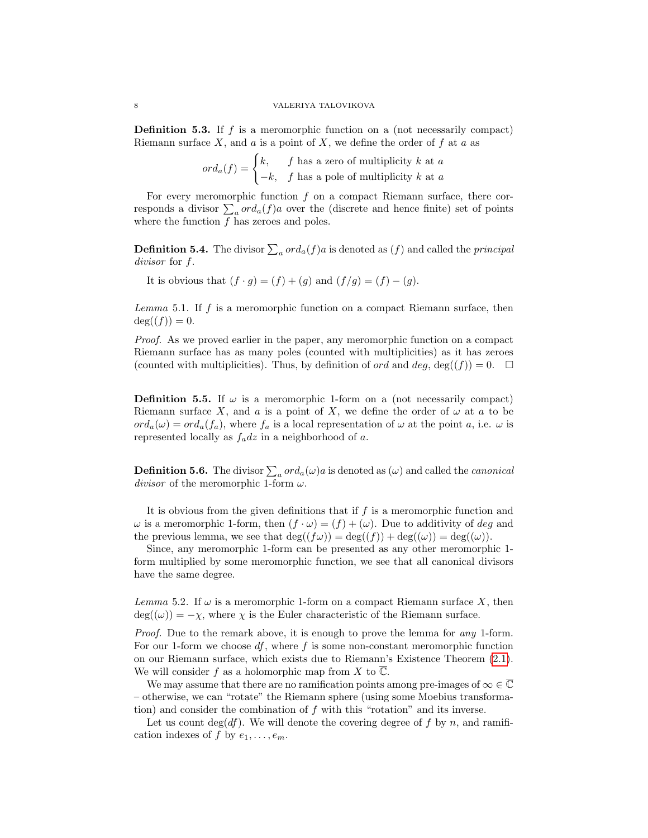#### 8 VALERIYA TALOVIKOVA

Definition 5.3. If f is a meromorphic function on a (not necessarily compact) Riemann surface  $X$ , and  $a$  is a point of  $X$ , we define the order of  $f$  at  $a$  as

$$
ord_a(f) = \begin{cases} k, & f \text{ has a zero of multiplicity } k \text{ at } a \\ -k, & f \text{ has a pole of multiplicity } k \text{ at } a \end{cases}
$$

For every meromorphic function  $f$  on a compact Riemann surface, there corresponds a divisor  $\sum_a ord_a(f)a$  over the (discrete and hence finite) set of points where the function  $f$  has zeroes and poles.

**Definition 5.4.** The divisor  $\sum_a ord_a(f)a$  is denoted as  $(f)$  and called the *principal* divisor for f.

It is obvious that  $(f \cdot g) = (f) + (g)$  and  $(f/g) = (f) - (g)$ .

Lemma 5.1. If  $f$  is a meromorphic function on a compact Riemann surface, then  $deg((f)) = 0.$ 

Proof. As we proved earlier in the paper, any meromorphic function on a compact Riemann surface has as many poles (counted with multiplicities) as it has zeroes (counted with multiplicities). Thus, by definition of *ord* and  $deg$ ,  $deg((f)) = 0$ .

**Definition 5.5.** If  $\omega$  is a meromorphic 1-form on a (not necessarily compact) Riemann surface X, and a is a point of X, we define the order of  $\omega$  at a to be  $ord_a(\omega) = ord_a(f_a)$ , where  $f_a$  is a local representation of  $\omega$  at the point a, i.e.  $\omega$  is represented locally as  $f_a dz$  in a neighborhood of a.

**Definition 5.6.** The divisor  $\sum_a ord_a(\omega)a$  is denoted as  $(\omega)$  and called the *canonical divisor* of the meromorphic 1-form  $\omega$ .

It is obvious from the given definitions that if  $f$  is a meromorphic function and  $\omega$  is a meromorphic 1-form, then  $(f \cdot \omega) = (f) + (\omega)$ . Due to additivity of deg and the previous lemma, we see that  $deg((f\omega)) = deg((f)) + deg((\omega)) = deg((\omega)).$ 

Since, any meromorphic 1-form can be presented as any other meromorphic 1 form multiplied by some meromorphic function, we see that all canonical divisors have the same degree.

Lemma 5.2. If  $\omega$  is a meromorphic 1-form on a compact Riemann surface X, then  $deg((\omega)) = -\chi$ , where  $\chi$  is the Euler characteristic of the Riemann surface.

Proof. Due to the remark above, it is enough to prove the lemma for any 1-form. For our 1-form we choose  $df$ , where f is some non-constant meromorphic function on our Riemann surface, which exists due to Riemann's Existence Theorem (2.[1\)](#page-2-2). We will consider f as a holomorphic map from X to  $\overline{\mathbb{C}}$ .

We may assume that there are no ramification points among pre-images of  $\infty \in \mathbb{C}$ – otherwise, we can "rotate" the Riemann sphere (using some Moebius transformation) and consider the combination of  $f$  with this "rotation" and its inverse.

Let us count deg(*df*). We will denote the covering degree of f by n, and ramification indexes of f by  $e_1, \ldots, e_m$ .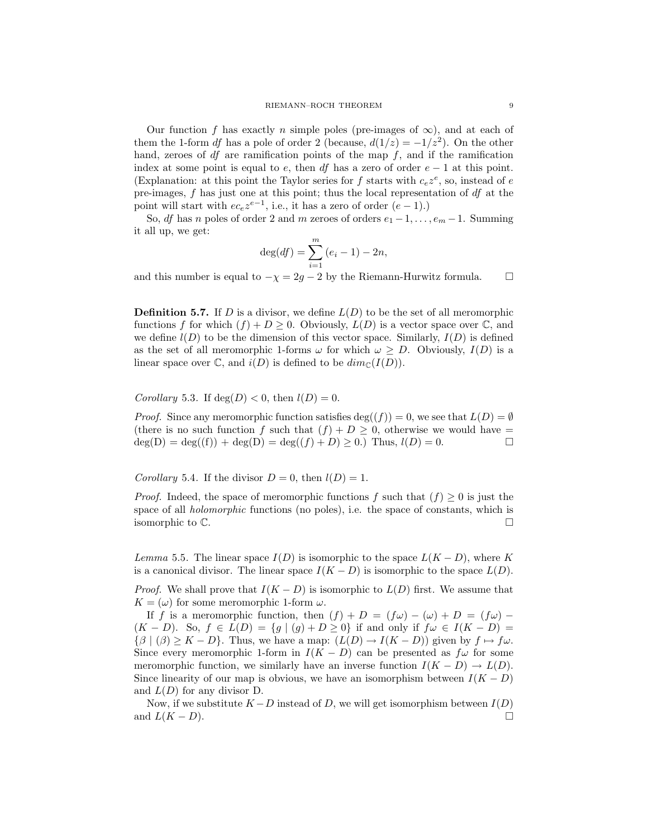Our function f has exactly n simple poles (pre-images of  $\infty$ ), and at each of them the 1-form df has a pole of order 2 (because,  $d(1/z) = -1/z^2$ ). On the other hand, zeroes of  $df$  are ramification points of the map  $f$ , and if the ramification index at some point is equal to e, then df has a zero of order  $e - 1$  at this point. (Explanation: at this point the Taylor series for f starts with  $c_e z^e$ , so, instead of e pre-images, f has just one at this point; thus the local representation of df at the point will start with  $ec_e z^{e-1}$ , i.e., it has a zero of order  $(e-1)$ .)

So, df has n poles of order 2 and m zeroes of orders  $e_1 - 1, \ldots, e_m - 1$ . Summing it all up, we get:

$$
\deg(df) = \sum_{i=1}^{m} (e_i - 1) - 2n,
$$

and this number is equal to  $-\chi = 2g - 2$  by the Riemann-Hurwitz formula.  $\square$ 

**Definition 5.7.** If D is a divisor, we define  $L(D)$  to be the set of all meromorphic functions f for which  $(f) + D \geq 0$ . Obviously,  $L(D)$  is a vector space over  $\mathbb{C}$ , and we define  $l(D)$  to be the dimension of this vector space. Similarly,  $I(D)$  is defined as the set of all meromorphic 1-forms  $\omega$  for which  $\omega \geq D$ . Obviously,  $I(D)$  is a linear space over  $\mathbb C$ , and  $i(D)$  is defined to be  $dim_{\mathbb C}(I(D))$ .

Corollary 5.3. If  $deg(D) < 0$ , then  $l(D) = 0$ .

*Proof.* Since any meromorphic function satisfies  $deg((f)) = 0$ , we see that  $L(D) = \emptyset$ (there is no such function f such that  $(f) + D \geq 0$ , otherwise we would have =  $deg(D) = deg((f)) + deg(D) = deg((f) + D) \ge 0.$  Thus,  $l(D) = 0.$ 

Corollary 5.4. If the divisor  $D = 0$ , then  $l(D) = 1$ .

*Proof.* Indeed, the space of meromorphic functions f such that  $(f) \geq 0$  is just the space of all *holomorphic* functions (no poles), i.e. the space of constants, which is isomorphic to  $\mathbb C$ .

<span id="page-8-0"></span>Lemma 5.5. The linear space  $I(D)$  is isomorphic to the space  $L(K - D)$ , where K is a canonical divisor. The linear space  $I(K - D)$  is isomorphic to the space  $L(D)$ .

*Proof.* We shall prove that  $I(K - D)$  is isomorphic to  $L(D)$  first. We assume that  $K = (\omega)$  for some meromorphic 1-form  $\omega$ .

If f is a meromorphic function, then  $(f) + D = (f\omega) - (\omega) + D = (f\omega) (K - D)$ . So,  $f \in L(D) = \{g \mid (g) + D \ge 0\}$  if and only if  $f\omega \in I(K - D)$  $\{\beta \mid (\beta) \geq K - D\}.$  Thus, we have a map:  $(L(D) \rightarrow I(K - D))$  given by  $f \mapsto f\omega$ . Since every meromorphic 1-form in  $I(K - D)$  can be presented as  $f\omega$  for some meromorphic function, we similarly have an inverse function  $I(K - D) \to L(D)$ . Since linearity of our map is obvious, we have an isomorphism between  $I(K - D)$ and  $L(D)$  for any divisor D.

Now, if we substitute  $K - D$  instead of D, we will get isomorphism between  $I(D)$ and  $L(K - D)$ .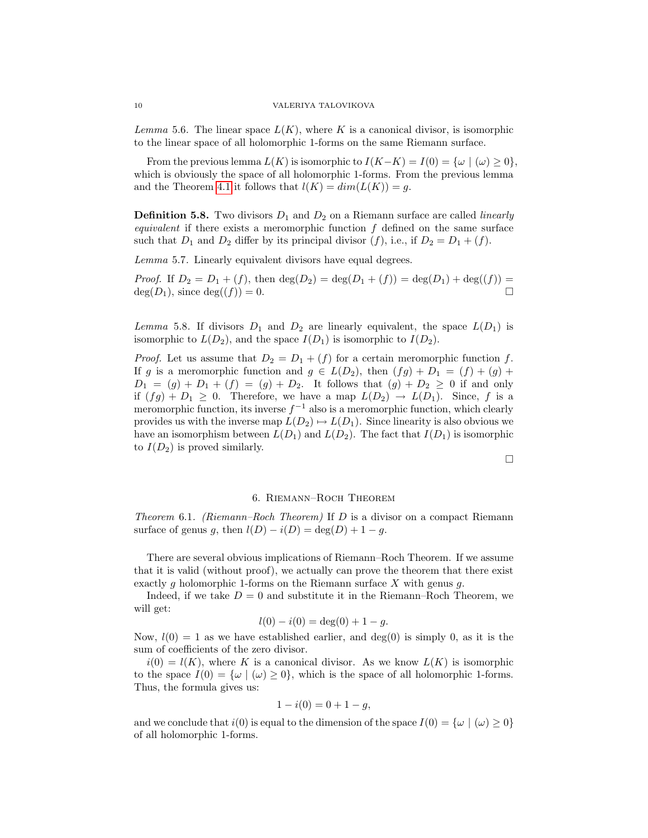Lemma 5.6. The linear space  $L(K)$ , where K is a canonical divisor, is isomorphic to the linear space of all holomorphic 1-forms on the same Riemann surface.

From the previous lemma  $L(K)$  is isomorphic to  $I(K-K) = I(0) = {\omega \mid (\omega) \geq 0}$ , which is obviously the space of all holomorphic 1-forms. From the previous lemma and the Theorem [4](#page-6-1).1 it follows that  $l(K) = dim(L(K)) = g$ .

**Definition 5.8.** Two divisors  $D_1$  and  $D_2$  on a Riemann surface are called *linearly* equivalent if there exists a meromorphic function  $f$  defined on the same surface such that  $D_1$  and  $D_2$  differ by its principal divisor  $(f)$ , i.e., if  $D_2 = D_1 + (f)$ .

Lemma 5.7. Linearly equivalent divisors have equal degrees.

*Proof.* If  $D_2 = D_1 + (f)$ , then  $\deg(D_2) = \deg(D_1 + (f)) = \deg(D_1) + \deg((f)) =$  $deg(D_1)$ , since  $deg((f)) = 0$ .

Lemma 5.8. If divisors  $D_1$  and  $D_2$  are linearly equivalent, the space  $L(D_1)$  is isomorphic to  $L(D_2)$ , and the space  $I(D_1)$  is isomorphic to  $I(D_2)$ .

*Proof.* Let us assume that  $D_2 = D_1 + (f)$  for a certain meromorphic function f. If g is a meromorphic function and  $g \in L(D_2)$ , then  $(fg) + D_1 = (f) + (g) +$  $D_1 = (g) + D_1 + (f) = (g) + D_2$ . It follows that  $(g) + D_2 \geq 0$  if and only if  $(fg) + D_1 \geq 0$ . Therefore, we have a map  $L(D_2) \rightarrow L(D_1)$ . Since, f is a meromorphic function, its inverse  $f^{-1}$  also is a meromorphic function, which clearly provides us with the inverse map  $L(D_2) \rightarrow L(D_1)$ . Since linearity is also obvious we have an isomorphism between  $L(D_1)$  and  $L(D_2)$ . The fact that  $I(D_1)$  is isomorphic to  $I(D_2)$  is proved similarly.

 $\Box$ 

# 6. Riemann–Roch Theorem

<span id="page-9-0"></span>Theorem 6.1. (Riemann–Roch Theorem) If  $D$  is a divisor on a compact Riemann surface of genus g, then  $l(D) - i(D) = \deg(D) + 1 - g$ .

There are several obvious implications of Riemann–Roch Theorem. If we assume that it is valid (without proof), we actually can prove the theorem that there exist exactly q holomorphic 1-forms on the Riemann surface X with genus q.

Indeed, if we take  $D = 0$  and substitute it in the Riemann–Roch Theorem, we will get:

$$
l(0) - i(0) = \deg(0) + 1 - g.
$$

Now,  $l(0) = 1$  as we have established earlier, and  $deg(0)$  is simply 0, as it is the sum of coefficients of the zero divisor.

 $i(0) = l(K)$ , where K is a canonical divisor. As we know  $L(K)$  is isomorphic to the space  $I(0) = {\omega | (\omega) \geq 0}$ , which is the space of all holomorphic 1-forms. Thus, the formula gives us:

$$
1 - i(0) = 0 + 1 - g,
$$

and we conclude that  $i(0)$  is equal to the dimension of the space  $I(0) = {\omega | (\omega) \geq 0}$ of all holomorphic 1-forms.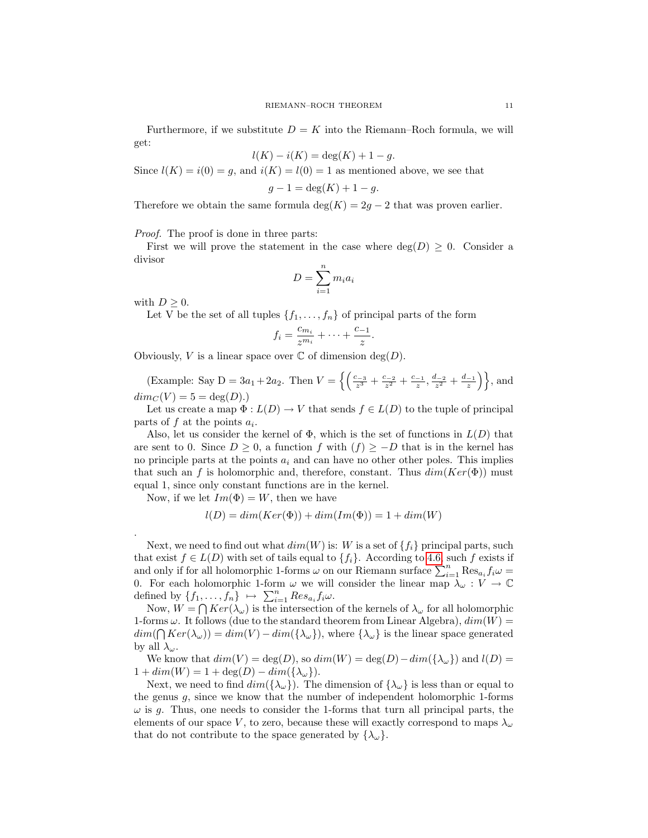Furthermore, if we substitute  $D = K$  into the Riemann–Roch formula, we will get:

$$
l(K) - i(K) = \deg(K) + 1 - g.
$$

Since  $l(K) = i(0) = q$ , and  $i(K) = l(0) = 1$  as mentioned above, we see that

$$
g - 1 = \deg(K) + 1 - g.
$$

Therefore we obtain the same formula  $\deg(K) = 2g - 2$  that was proven earlier.

Proof. The proof is done in three parts:

First we will prove the statement in the case where  $deg(D) \geq 0$ . Consider a divisor

$$
D = \sum_{i=1}^{n} m_i a_i
$$

with  $D \geq 0$ .

.

Let V be the set of all tuples  $\{f_1, \ldots, f_n\}$  of principal parts of the form

$$
f_i = \frac{c_{m_i}}{z^{m_i}} + \dots + \frac{c_{-1}}{z}.
$$

Obviously, V is a linear space over  $\mathbb C$  of dimension  $\deg(D)$ .

(Example: Say D =  $3a_1 + 2a_2$ . Then  $V = \left\{ \left( \frac{c_{-3}}{z^3} + \frac{c_{-2}}{z^2} + \frac{c_{-1}}{z}, \frac{d_{-2}}{z^2} + \frac{d_{-1}}{z} \right) \right\}$ , and  $dim_C(V) = 5 = deg(D).$ 

Let us create a map  $\Phi: L(D) \to V$  that sends  $f \in L(D)$  to the tuple of principal parts of  $f$  at the points  $a_i$ .

Also, let us consider the kernel of  $\Phi$ , which is the set of functions in  $L(D)$  that are sent to 0. Since  $D \geq 0$ , a function f with  $(f) \geq -D$  that is in the kernel has no principle parts at the points  $a_i$  and can have no other other poles. This implies that such an f is holomorphic and, therefore, constant. Thus  $dim(Ker(\Phi))$  must equal 1, since only constant functions are in the kernel.

Now, if we let  $Im(\Phi) = W$ , then we have

$$
l(D) = dim(Ker(\Phi)) + dim(Im(\Phi)) = 1 + dim(W)
$$

Next, we need to find out what  $dim(W)$  is: W is a set of  $\{f_i\}$  principal parts, such that exist  $f \in L(D)$  with set of tails equal to  $\{f_i\}$ . According to 4.[6,](#page-6-2) such f exists if and only if for all holomorphic 1-forms  $\omega$  on our Riemann surface  $\sum_{i=1}^{n} \text{Res}_{a_i} f_i \omega =$ 0. For each holomorphic 1-form  $\omega$  we will consider the linear map  $\lambda_{\omega}: V \to \mathbb{C}$ defined by  $\{f_1, \ldots, f_n\} \mapsto \sum_{i=1}^n Res_{a_i} f_i \omega$ .

Now,  $W = \bigcap Ker(\lambda_{\omega})$  is the intersection of the kernels of  $\lambda_{\omega}$  for all holomorphic 1-forms  $\omega$ . It follows (due to the standard theorem from Linear Algebra),  $dim(W)$  =  $dim(\bigcap Ker(\lambda_\omega)) = dim(V) - dim(\{\lambda_\omega\})$ , where  $\{\lambda_\omega\}$  is the linear space generated by all  $\lambda_{\omega}$ .

We know that  $dim(V) = deg(D)$ , so  $dim(W) = deg(D) - dim({\lambda_{\omega}})$  and  $l(D) =$  $1 + dim(W) = 1 + deg(D) - dim({\lambda_{\omega}}).$ 

Next, we need to find  $dim({\{\lambda_\omega\}})$ . The dimension of  ${\lambda_\omega\}$  is less than or equal to the genus g, since we know that the number of independent holomorphic 1-forms  $\omega$  is g. Thus, one needs to consider the 1-forms that turn all principal parts, the elements of our space V, to zero, because these will exactly correspond to maps  $\lambda_{\omega}$ that do not contribute to the space generated by  $\{\lambda_\omega\}.$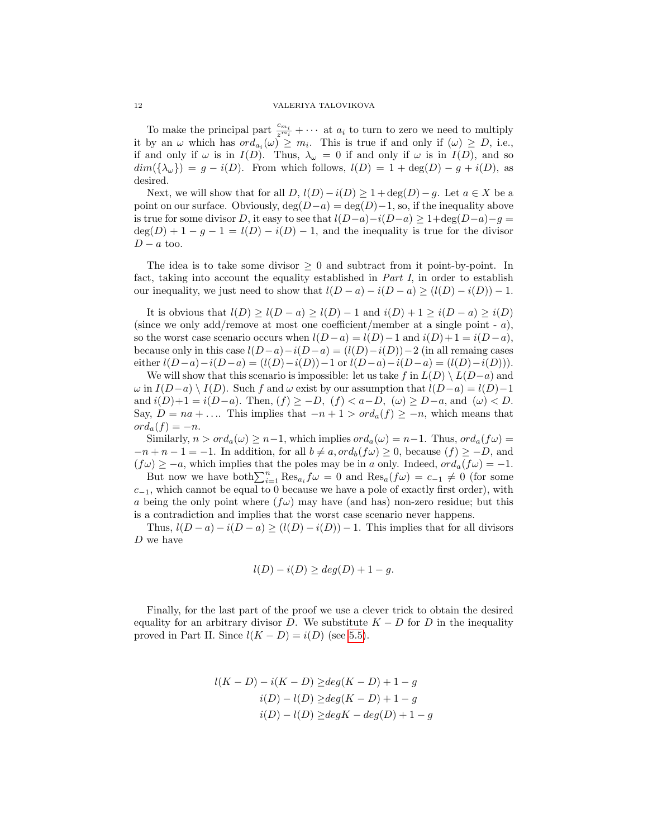#### 12 VALERIYA TALOVIKOVA

To make the principal part  $\frac{c_{m_i}}{z^{m_i}} + \cdots$  at  $a_i$  to turn to zero we need to multiply it by an  $\omega$  which has  $ord_{a_i}(\omega) \geq m_i$ . This is true if and only if  $(\omega) \geq D$ , i.e., if and only if  $\omega$  is in  $I(D)$ . Thus,  $\lambda_{\omega} = 0$  if and only if  $\omega$  is in  $I(D)$ , and so  $dim({\{\lambda_{\omega}\}}) = g - i(D)$ . From which follows,  $l(D) = 1 + deg(D) - g + i(D)$ , as desired.

Next, we will show that for all  $D$ ,  $l(D) - i(D) \geq 1 + \deg(D) - g$ . Let  $a \in X$  be a point on our surface. Obviously,  $deg(D-a) = deg(D)-1$ , so, if the inequality above is true for some divisor D, it easy to see that  $l(D-a)-i(D-a) \geq 1+\deg(D-a)-g=$  $deg(D) + 1 - g - 1 = l(D) - i(D) - 1$ , and the inequality is true for the divisor  $D - a$  too.

The idea is to take some divisor  $\geq 0$  and subtract from it point-by-point. In fact, taking into account the equality established in Part I, in order to establish our inequality, we just need to show that  $l(D - a) - i(D - a) \ge (l(D) - i(D)) - 1$ .

It is obvious that  $l(D) \geq l(D - a) \geq l(D) - 1$  and  $i(D) + 1 \geq i(D - a) \geq i(D)$ (since we only add/remove at most one coefficient/member at a single point -  $a$ ), so the worst case scenario occurs when  $l(D - a) = l(D) - 1$  and  $i(D) + 1 = i(D - a)$ , because only in this case  $l(D-a)-i(D-a) = (l(D)-i(D))-2$  (in all remaing cases either  $l(D-a)-i(D-a) = (l(D)-i(D))-1$  or  $l(D-a)-i(D-a) = (l(D)-i(D))$ .

We will show that this scenario is impossible: let us take f in  $L(D) \setminus L(D-a)$  and  $\omega$  in  $I(D-a) \setminus I(D)$ . Such f and  $\omega$  exist by our assumption that  $l(D-a) = l(D)-1$ and  $i(D)+1 = i(D-a)$ . Then,  $(f) \ge -D$ ,  $(f) < a-D$ ,  $(\omega) \ge D-a$ , and  $(\omega) < D$ . Say,  $D = na + \dots$  This implies that  $-n+1 > ord_a(f) \geq -n$ , which means that  $ord_a(f) = -n.$ 

Similarly,  $n > ord_a(\omega) \geq n-1$ , which implies  $ord_a(\omega) = n-1$ . Thus,  $ord_a(f\omega) =$  $-n+n-1=-1$ . In addition, for all  $b \neq a, ord_b(f\omega) \geq 0$ , because  $(f) \geq -D$ , and  $(f\omega) \geq -a$ , which implies that the poles may be in a only. Indeed,  $ord_a(f\omega) = -1$ .

But now we have  $\text{both}\sum_{i=1}^{n}\text{Res}_{a_i}f\omega=0$  and  $\text{Res}_{a}(f\omega)=c_{-1}\neq 0$  (for some  $c_{-1}$ , which cannot be equal to 0 because we have a pole of exactly first order), with a being the only point where  $(f\omega)$  may have (and has) non-zero residue; but this is a contradiction and implies that the worst case scenario never happens.

Thus,  $l(D - a) - i(D - a) \ge (l(D) - i(D)) - 1$ . This implies that for all divisors D we have

$$
l(D) - i(D) \ge deg(D) + 1 - g.
$$

Finally, for the last part of the proof we use a clever trick to obtain the desired equality for an arbitrary divisor D. We substitute  $K - D$  for D in the inequality proved in Part II. Since  $l(K - D) = i(D)$  (see 5.[5\)](#page-8-0).

$$
l(K - D) - i(K - D) \ge deg(K - D) + 1 - g
$$
  
\n
$$
i(D) - l(D) \ge deg(K - D) + 1 - g
$$
  
\n
$$
i(D) - l(D) \ge degK - deg(D) + 1 - g
$$